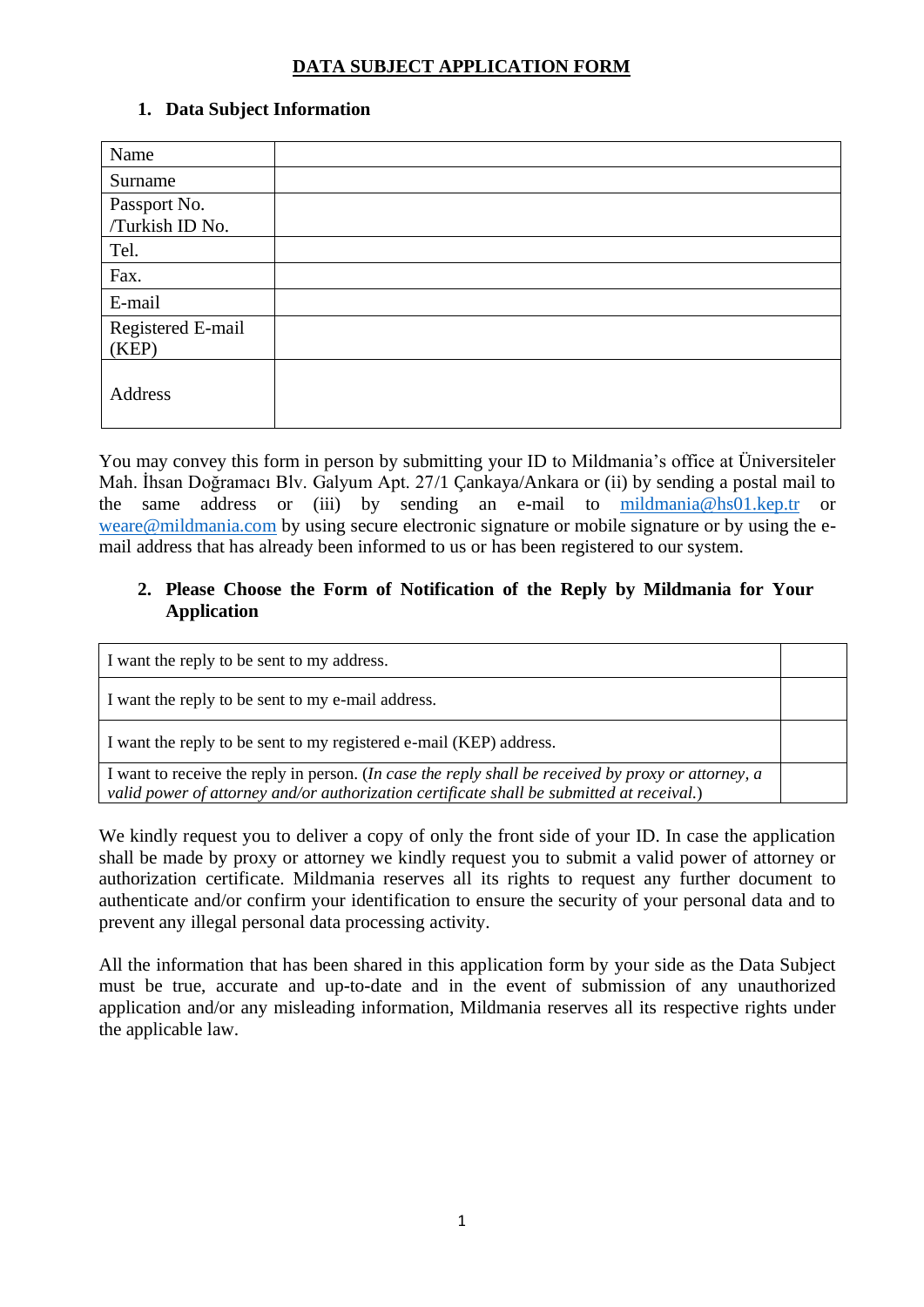## **DATA SUBJECT APPLICATION FORM**

## **1. Data Subject Information**

| Name              |  |
|-------------------|--|
| Surname           |  |
| Passport No.      |  |
| /Turkish ID No.   |  |
| Tel.              |  |
| Fax.              |  |
| E-mail            |  |
| Registered E-mail |  |
| (KEP)             |  |
| Address           |  |

You may convey this form in person by submitting your ID to Mildmania's office at Üniversiteler Mah. İhsan Doğramacı Blv. Galyum Apt. 27/1 Çankaya/Ankara or (ii) by sending a postal mail to the same address or (iii) by sending an e-mail to [mildmania@hs01.kep.tr](mailto:mildmania@hs01.kep.tr) or [weare@mildmania.com](mailto:weare@mildmania.com) by using secure electronic signature or mobile signature or by using the email address that has already been informed to us or has been registered to our system.

## **2. Please Choose the Form of Notification of the Reply by Mildmania for Your Application**

| I want the reply to be sent to my address.                                                                                                                                                       |  |
|--------------------------------------------------------------------------------------------------------------------------------------------------------------------------------------------------|--|
| I want the reply to be sent to my e-mail address.                                                                                                                                                |  |
| I want the reply to be sent to my registered e-mail (KEP) address.                                                                                                                               |  |
| I want to receive the reply in person. (In case the reply shall be received by proxy or attorney, a<br>valid power of attorney and/or authorization certificate shall be submitted at receival.) |  |

We kindly request you to deliver a copy of only the front side of your ID. In case the application shall be made by proxy or attorney we kindly request you to submit a valid power of attorney or authorization certificate. Mildmania reserves all its rights to request any further document to authenticate and/or confirm your identification to ensure the security of your personal data and to prevent any illegal personal data processing activity.

All the information that has been shared in this application form by your side as the Data Subject must be true, accurate and up-to-date and in the event of submission of any unauthorized application and/or any misleading information, Mildmania reserves all its respective rights under the applicable law.